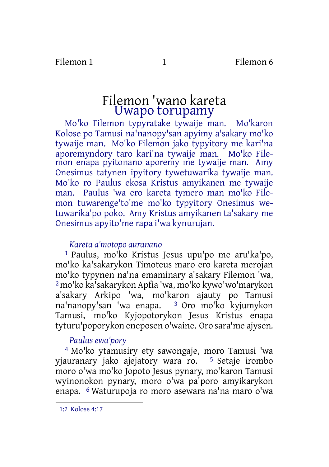# Filemon 'wano kareta Uwapo torupamy

Mo'ko Filemon typyratake tywaije man. Mo'karon Kolose po Tamusi na'nanopy'san apyimy a'sakary mo'ko tywaije man. Mo'ko Filemon jako typyitory me kari'na aporemyndory taro kari'na tywaije man. Mo'ko Filemon enapa pyitonano aporemy me tywaije man. Amy Onesimus tatynen ipyitory tywetuwarika tywaije man. Mo'ko ro Paulus ekosa Kristus amyikanen me tywaije man. Paulus 'wa ero kareta tymero man mo'ko Filemon tuwarenge'to'me mo'ko typyitory Onesimus wetuwarika'po poko. Amy Kristus amyikanen ta'sakary me Onesimus apyito'me rapa i'wa kynurujan.

### *Kareta a'motopo auranano*

1 Paulus, mo'ko Kristus Jesus upu'po me aru'ka'po, mo'ko ka'sakarykon Timoteus maro ero kareta merojan mo'ko typynen na'na emaminary a'sakary Filemon 'wa, 2 mo'ko ka'sakarykon Apfia 'wa, mo'ko kywo'wo'marykon a'sakary Arkipo 'wa, mo'karon ajauty po Tamusi na'nanopy'san 'wa enapa. 3 Oro mo'ko kyjumykon Tamusi, mo'ko Kyjopotorykon Jesus Kristus enapa tyturu'poporykon eneposen o'waine. Oro sara'me ajysen.

# *Paulus ewa'pory*

4 Mo'ko ytamusiry ety sawongaje, moro Tamusi 'wa yjauranary jako ajejatory wara ro. 5 Setaje irombo moro o'wa mo'ko Jopoto Jesus pynary, mo'karon Tamusi wyinonokon pynary, moro o'wa pa'poro amyikarykon enapa. 6 Waturupoja ro moro asewara na'na maro o'wa

1:2 Kolose 4:17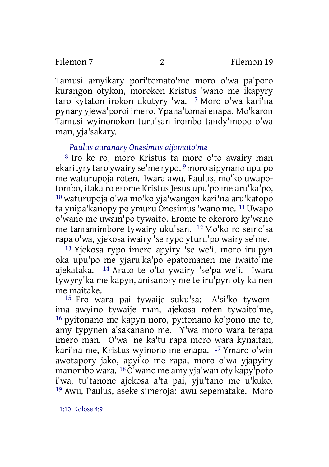Tamusi amyikary pori'tomato'me moro o'wa pa'poro kurangon otykon, morokon Kristus 'wano me ikapyry taro kytaton irokon ukutyry 'wa. 7 Moro o'wa kari'na pynary yjewa'poroi imero. Ypana'tomai enapa. Mo'karon Tamusi wyinonokon turu'san irombo tandy'mopo o'wa man, yja'sakary.

### *Paulus auranary Onesimus aijomato'me*

8 Iro ke ro, moro Kristus ta moro o'to awairy man ekarityry taro ywairy se'me rypo, 9moro aipynano upu'po me waturupoja roten. Iwara awu, Paulus, mo'ko uwapotombo, itaka ro erome Kristus Jesus upu'po me aru'ka'po, 10 waturupoja o'wa mo'ko yja'wangon kari'na aru'katopo ta ynipa'kanopy'po ymuru Onesimus'wano me. 11Uwapo o'wano me uwam'po tywaito. Erome te okororo ky'wano me tamamimbore tywairy uku'san. 12 Mo'ko ro semo'sa rapa o'wa, yjekosa iwairy 'se rypo yturu'po wairy se'me.

13 Yjekosa rypo imero apyiry 'se we'i, moro iru'pyn oka upu'po me yjaru'ka'po epatomanen me iwaito'me ajekataka. 14 Arato te o'to ywairy 'se'pa we'i. Iwara tywyry'ka me kapyn, anisanory me te iru'pyn oty ka'nen me maitake.

15 Ero wara pai tywaije suku'sa: A'si'ko tywomima awyino tywaije man, ajekosa roten tywaito'me, 16 pyitonano me kapyn noro, pyitonano ko'pono me te, amy typynen a'sakanano me. Y'wa moro wara terapa imero man. O'wa 'ne ka'tu rapa moro wara kynaitan, kari'na me, Kristus wyinono me enapa. 17 Ymaro o'win awotapory jako, apyiko me rapa, moro o'wa yjapyiry manombo wara. 18O'wano me amy yja'wan oty kapy'poto i'wa, tu'tanone ajekosa a'ta pai, yju'tano me u'kuko. 19 Awu, Paulus, aseke simeroja: awu sepematake. Moro

1:10 Kolose 4:9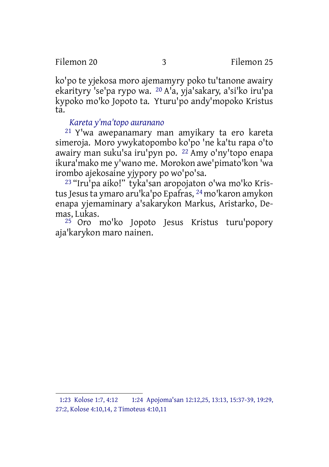ko'po te yjekosa moro ajemamyry poko tu'tanone awairy ekarityry 'se'pa rypo wa. 20 A'a, yja'sakary, a'si'ko iru'pa kypoko mo'ko Jopoto ta. Yturu'po andy'mopoko Kristus ta.

#### *Kareta y'ma'topo auranano*

21 Y'wa awepanamary man amyikary ta ero kareta simeroja. Moro ywykatopombo ko'po 'ne ka'tu rapa o'to awairy man suku'sa iru'pyn po. 22 Amy o'ny'topo enapa ikura'mako me y'wano me. Morokon awe'pimato'kon 'wa irombo ajekosaine yjypory po wo'po'sa.

23 "Iru'pa aiko!" tyka'san aropojaton o'wa mo'ko Kristus Jesus ta ymaro aru'ka'po Epafras, <sup>24</sup> mo'karon amykon enapa yjemaminary a'sakarykon Markus, Aristarko, Demas, Lukas.

<sup>25</sup> Oro mo'ko Jopoto Jesus Kristus turu'popory aja'karykon maro nainen.

<sup>1:23</sup> Kolose 1:7, 4:12 1:24 Apojoma'san 12:12,25, 13:13, 15:37-39, 19:29, 27:2, Kolose 4:10,14, 2 Timoteus 4:10,11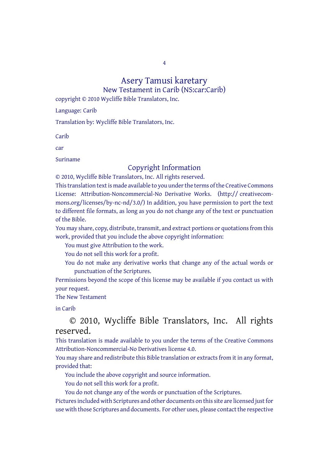4

#### Asery Tamusi karetary

New Testament in Carib (NS:car:Carib)

copyright © 2010 Wycliffe Bible Translators, Inc.

Language: Carib

Translation by: Wycliffe Bible Translators, Inc.

Carib

car

Suriname

## Copyright Information

© 2010, Wycliffe Bible Translators, Inc. All rights reserved. This translation text is made available to you under the terms of the Creative [Commons](http://creativecommons.org/licenses/by-nc-nd/4.0/) License: [Attribution-Noncommercial-No](http://creativecommons.org/licenses/by-nc-nd/4.0/) Derivative Works. (http:// creativecommons.org/licenses/by-nc-nd/3.0/) In addition, you have permission to port the text to different file formats, as long as you do not change any of the text or punctuation of the Bible.

You may share, copy, distribute, transmit, and extract portions or quotations from this work, provided that you include the above copyright information:

You must give Attribution to the work.

You do not sell this work for a profit.

You do not make any derivative works that change any of the actual words or punctuation of the Scriptures.

Permissions beyond the scope of this license may be available if you contact us with your request.

The New Testament

in Carib

#### © 2010, Wycliffe Bible Translators, Inc. All rights reserved.

This translation is made available to you under the terms of the Creative Commons Attribution-Noncommercial-No Derivatives license 4.0.

You may share and redistribute this Bible translation or extracts from it in any format, provided that:

You include the above copyright and source information.

You do not sell this work for a profit.

You do not change any of the words or punctuation of the Scriptures.

Pictures included with Scriptures and other documents on this site are licensed just for use with those Scriptures and documents. For other uses, please contact the respective